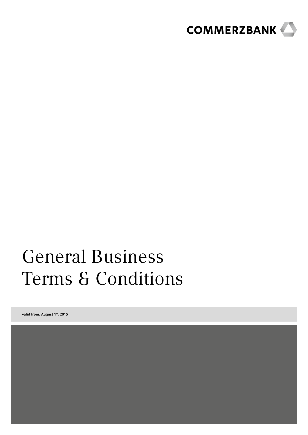

# General Business Terms & Conditions

valid from: August 1st, 2015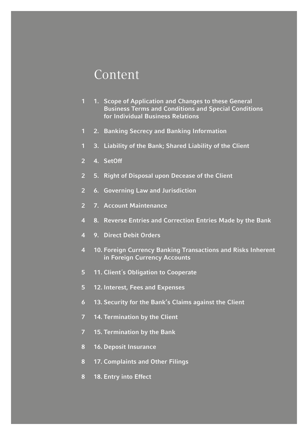### Content

- 1. Scope of Application and Changes to these General Business Terms and Conditions and Special Conditions for Individual Business Relations
- 2. Banking Secrecy and Banking Information
- 3. Liability of the Bank; Shared Liability of the Client
- 4. SetOff
- 5. Right of Disposal upon Decease of the Client
- 6. Governing Law and Jurisdiction
- 7. Account Maintenance
- 8. Reverse Entries and Correction Entries Made by the Bank
- 9. Direct Debit Orders
- 10. Foreign Currency Banking Transactions and Risks Inherent in Foreign Currency Accounts
- 11. Client´s Obligation to Cooperate
- 12. Interest, Fees and Expenses
- 13. Security for the Bank's Claims against the Client
- 14. Termination by the Client
- 15. Termination by the Bank
- 16. Deposit Insurance
- 17. Complaints and Other Filings
- 18. Entry into Effect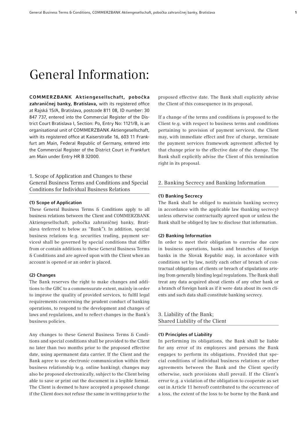## General Information:

COMMERZBANK Aktiengesellschaft, pobočka zahraničnej banky, Bratislava, with its registered office at Rajská 15/A, Bratislava, postcode 811 08, ID number: 30 847 737, entered into the Commercial Register of the District Court Bratislava I, Section: Po, Entry No: 1121/B, is an organisational unit of COMMERZBANK Aktiengesellschaft, with its registered office at Kaiserstraße 16, 603 11 Frankfurt am Main, Federal Republic of Germany, entered into the Commercial Register of the District Court in Frankfurt am Main under Entry HR B 32000.

1. Scope of Application and Changes to these General Business Terms and Conditions and Special Conditions for Individual Business Relations

#### (1) Scope of Application

These General Business Terms & Conditions apply to all business relations between the Client and COMMERZBANK Aktiengesellschaft, pobočka zahraničnej banky, Bratislava (referred to below as "Bank"). In addition, special business relations (e.g. securities trading, payment services) shall be governed by special conditions that differ from or contain additions to these General Business Terms & Conditions and are agreed upon with the Client when an account is opened or an order is placed.

#### (2) Changes

The Bank reserves the right to make changes and additions to the GBC to a commensurate extent, mainly in order to improve the quality of provided services, to fulfil legal requirements concerning the prudent conduct of banking operations, to respond to the development and changes of laws and regulations, and to reflect changes in the Bank's business policies.

Any changes to these General Business Terms & Conditions and special conditions shall be provided to the Client no later than two months prior to the proposed effective date, using apermanent data carrier. If the Client and the Bank agree to use electronic communication within their business relationship (e.g. online banking), changes may also be proposed electronically, subject to the Client being able to save or print out the document in a legible format. The Client is deemed to have accepted a proposed change if the Client does not refuse the same in writing prior to the

proposed effective date. The Bank shall explicitly advise the Client of this consequence in its proposal.

If a change of the terms and conditions is proposed to the Client (e.g. with respect to business terms and conditions pertaining to provision of payment services), the Client may, with immediate effect and free of charge, terminate the payment services framework agreement affected by that change prior to the effective date of the change. The Bank shall explicitly advise the Client of this termination right in its proposal.

#### 2. Banking Secrecy and Banking Information

#### (1) Banking Secrecy

The Bank shall be obliged to maintain banking secrecy in accordance with the applicable law (banking secrecy) unless otherwise contractually agreed upon or unless the Bank shall be obliged by law to disclose that information.

#### (2) Banking Information

In order to meet their obligation to exercise due care in business operations, banks and branches of foreign banks in the Slovak Republic may, in accordance with conditions set by law, notify each other of breach of contractual obligations of clients or breach of stipulations arising from generally binding legal regulations. The Bank shall treat any data acquired about clients of any other bank or a branch of foreign bank as if it were data about its own clients and such data shall constitute banking secrecy.

#### 3. Liability of the Bank; Shared Liability of the Client

#### (1) Principles of Liability

In performing its obligations, the Bank shall be liable for any error of its employees and persons the Bank engages to perform its obligations. Provided that special conditions of individual business relations or other agreements between the Bank and the Client specify otherwise, such provisions shall prevail. If the Client's error (e.g. a violation of the obligation to cooperate as set out in Article 11 hereof) contributed to the occurrence of a loss, the extent of the loss to be borne by the Bank and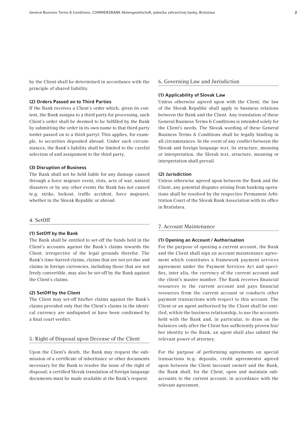by the Client shall be determined in accordance with the principle of shared liability.

#### (2) Orders Passed on to Third Parties

If the Bank receives a Client´s order which, given its content, the Bank assigns to a third party for processing, such Client´s order shall be deemed to be fulfilled by the Bank by submitting the order in its own name to that third party (order passed on to a third party). This applies, for example, to securities deposited abroad. Under such circumstances, the Bank's liability shall be limited to the careful selection of and assignment to the third party.

#### (3) Disruption of Business

The Bank shall not be held liable for any damage caused through a force majeure event, riots, acts of war, natural disasters or by any other events the Bank has not caused (e.g. strike, lockout, traffic accident, force majeure), whether in the Slovak Republic or abroad.

#### 4. SetOff

#### (1) SetOff by the Bank

The Bank shall be entitled to set-off the funds held in the Client's accounts against the Bank´s claims towards the Client, irrespective of the legal grounds therefor. The Bank's time-barred claims, claims that are not yet due and claims in foreign currencies, including those that are not freely convertible, may also be set-off by the Bank against the Client´s claims.

#### (2) SetOff by the Client

The Client may set-off his/her claims against the Bank's claims provided only that the Client's claims in the identical currency are undisputed or have been confirmed by a final court verdict.

#### 5. Right of Disposal upon Decease of the Client

Upon the Client's death, the Bank may request the submission of a certificate of inheritance or other documents necessary for the Bank to resolve the issue of the right of disposal; a certified Slovak translation of foreign language documents must be made available at the Bank's request.

#### 6. Governing Law and Jurisdiction

#### (1) Applicability of Slovak Law

Unless otherwise agreed upon with the Client, the law of the Slovak Republic shall apply to business relations between the Bank and the Client. Any translation of these General Business Terms & Conditions is intended solely for the Client's needs. The Slovak wording of these General Business Terms & Conditions shall be legally binding in all circumstances. In the event of any conflict between the Slovak and foreign language text, its structure, meaning or interpretation, the Slovak text, structure, meaning or interpretation shall prevail.

#### (2) Jurisdiction

Unless otherwise agreed upon between the Bank and the Client, any potential disputes arising from banking operations shall be resolved by the respective Permanent Arbitration Court of the Slovak Bank Association with its office in Bratislava.

#### 7. Account Maintenance

#### (1) Opening an Account / Authorisation

For the purpose of opening a current account, the Bank and the Client shall sign an account maintenance agreement which constitutes a framework payment services agreement under the Payment Services Act and specifies, inter alia, the currency of the current account and the client's master number. The Bank receives financial resources to the current account and pays financial resources from the current account or conducts other payment transactions with respect to this account. The Client or an agent authorised by the Client shall be entitled, within the business relationship, to use the accounts held with the Bank and, in particular, to draw on the balances only after the Client has sufficiently proven his/ her identity to the Bank, an agent shall also submit the relevant power of attorney.

For the purpose of performing agreements on special transactions (e.g. deposits, credit agreements) agreed upon between the Client (account owner) and the Bank, the Bank shall, for the Client, open and maintain subaccounts to the current account, in accordance with the relevant agreement.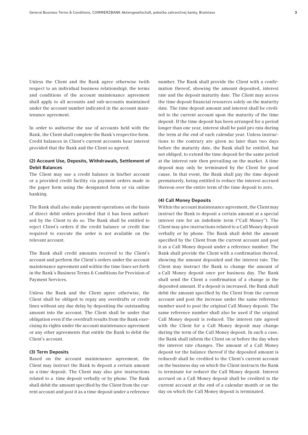Unless the Client and the Bank agree otherwise (with respect to an individual business relationship), the terms and conditions of the account maintenance agreement shall apply to all accounts and sub-accounts maintained under the account number indicated in the account maintenance agreement.

In order to authorise the use of accounts held with the Bank, the Client shall complete the Bank´s respective form. Credit balances in Client's current accounts bear interest provided that the Bank and the Client so agreed.

#### (2) Account Use, Deposits, Withdrawals, Settlement of Debit Balances

The Client may use a credit balance in his/her account or a provided credit facility via payment orders made in the paper form using the designated form or via online banking.

The Bank shall also make payment operations on the basis of direct debit orders provided that it has been authorised by the Client to do so. The Bank shall be entitled to reject Client's orders if the credit balance or credit line required to execute the order is not available on the relevant account.

The Bank shall credit amounts received to the Client's account and perform the Client's orders under the account maintenance agreement and within the time lines set forth in the Bank´s Business Terms & Conditions for Provision of Payment Services.

Unless the Bank and the Client agree otherwise, the Client shall be obliged to repay any overdrafts or credit lines without any due delay by depositing the outstanding amount into the account. The Client shall be under that obligation even if the overdraft results from the Bank exercising its rights under the account maintenance agreement or any other agreements that entitle the Bank to debit the Client's account.

#### (3) Term Deposits

Based on the account maintenance agreement, the Client may instruct the Bank to deposit a certain amount as a time deposit. The Client may also give instructions related to a time deposit verbally or by phone. The Bank shall debit the amount specified by the Client from the current account and post it as a time deposit under a reference

number. The Bank shall provide the Client with a confirmation thereof, showing the amount deposited, interest rate and the deposit maturity date. The Client may access the time deposit financial resources solely on the maturity date. The time deposit amount and interest shall be credited to the current account upon the maturity of the time deposit. If the time deposit has been arranged for a period longer than one year, interest shall be paid pro rata during the term at the end of each calendar year. Unless instructions to the contrary are given no later than two days before the maturity date, the Bank shall be entitled, but not obliged, to extend the time deposit for the same period at the interest rate then prevailing on the market. A time deposit may only be terminated by the Client for good cause. In that event, the Bank shall pay the time deposit prematurely, being entitled to reduce the interest accrued thereon over the entire term of the time deposit to zero.

#### (4) Call Money Deposits

Within the account maintenance agreement, the Client may instruct the Bank to deposit a certain amount at a special interest rate for an indefinite term ("Call Money"). The Client may give instructions related to a Call Money deposit verbally or by phone. The Bank shall debit the amount specified by the Client from the current account and post it as a Call Money deposit under a reference number. The Bank shall provide the Client with a confirmation thereof, showing the amount deposited and the interest rate. The Client may instruct the Bank to change the amount of a Call Money deposit once per business day. The Bank shall send the Client a confirmation of a change in the deposited amount. If a deposit is increased, the Bank shall debit the amount specified by the Client from the current account and post the increase under the same reference number used to post the original Call Money deposit. The same reference number shall also be used if the original Call Money deposit is reduced. The interest rate agreed with the Client for a Call Money deposit may change during the term of the Call Money deposit. In such a case, the Bank shall inform the Client on or before the day when the interest rate changes. The amount of a Call Money deposit (or the balance thereof if the deposited amount is reduced) shall be credited to the Client's current account on the business day on which the Client instructs the Bank to terminate (or reduce) the Call Money deposit. Interest accrued on a Call Money deposit shall be credited to the current account at the end of a calendar month or on the day on which the Call Money deposit is terminated.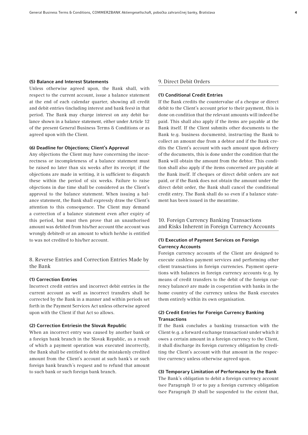#### (5) Balance and Interest Statements

Unless otherwise agreed upon, the Bank shall, with respect to the current account, issue a balance statement at the end of each calendar quarter, showing all credit and debit entries (including interest and bank fees) in that period. The Bank may charge interest on any debit balance shown in a balance statement, either under Article 12 of the present General Business Terms & Conditions or as agreed upon with the Client.

#### (6) Deadline for Objections; Client's Approval

Any objections the Client may have concerning the incorrectness or incompleteness of a balance statement must be raised no later than six weeks after its receipt; if the objections are made in writing, it is sufficient to dispatch these within the period of six weeks. Failure to raise objections in due time shall be considered as the Client's approval to the balance statement. When issuing a balance statement, the Bank shall expressly draw the Client's attention to this consequence. The Client may demand a correction of a balance statement even after expiry of this period, but must then prove that an unauthorised amount was debited from his/her account (the account was wrongly debited) or an amount to which he/she is entitled to was not credited to his/her account.

#### 8. Reverse Entries and Correction Entries Made by the Bank

#### (1) Correction Entries

Incorrect credit entries and incorrect debit entries in the current account as well as incorrect transfers shall be corrected by the Bank in a manner and within periods set forth in the Payment Services Act unless otherwise agreed upon with the Client if that Act so allows.

#### (2) Correction Entriesin the Slovak Republic

When an incorrect entry was caused by another bank or a foreign bank branch in the Slovak Republic, as a result of which a payment operation was executed incorrectly, the Bank shall be entitled to debit the mistakenly credited amount from the Client's account at such bank's or such foreign bank branch´s request and to refund that amount to such bank or such foreign bank branch.

#### 9. Direct Debit Orders

#### (1) Conditional Credit Entries

If the Bank credits the countervalue of a cheque or direct debit to the Client's account prior to their payment, this is done on condition that the relevant amounts will indeed be paid. This shall also apply if the items are payable at the Bank itself. If the Client submits other documents to the Bank (e.g. business documents), instructing the Bank to collect an amount due from a debtor and if the Bank credits the Client's account with such amount upon delivery of the documents, this is done under the condition that the Bank will obtain the amount from the debtor. This condition shall also apply if the items concerned are payable at the Bank itself. If cheques or direct debit orders are not paid, or if the Bank does not obtain the amount under the direct debit order, the Bank shall cancel the conditional credit entry. The Bank shall do so even if a balance statement has been issued in the meantime.

### 10. Foreign Currency Banking Transactions and Risks Inherent in Foreign Currency Accounts

#### (1) Execution of Payment Services on Foreign Currency Accounts

Foreign currency accounts of the Client are designed to execute cashless payment services and performing other client transactions in foreign currencies. Payment operations with balances in foreign currency accounts (e.g. by means of credit transfers to the debit of the foreign currency balance) are made in cooperation with banks in the home country of the currency unless the Bank executes them entirely within its own organisation.

#### (2) Credit Entries for Foreign Currency Banking **Transactions**

If the Bank concludes a banking transaction with the Client (e.g. a forward exchange transaction) under which it owes a certain amount in a foreign currency to the Client, it shall discharge its foreign currency obligation by crediting the Client's account with that amount in the respective currency unless otherwise agreed upon.

#### (3) Temporary Limitation of Performance by the Bank

The Bank's obligation to debit a foreign currency account (see Paragraph 1) or to pay a foreign currency obligation (see Paragraph 2) shall be suspended to the extent that,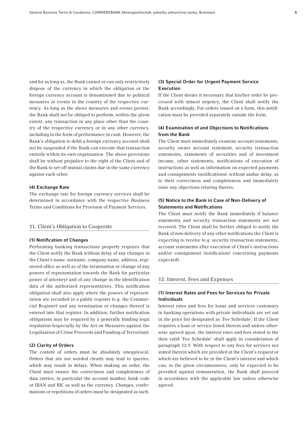and for as long as, the Bank cannot or can only restrictively dispose of the currency in which the obligation or the foreign currency account is denominated due to political measures or events in the country of the respective currency. As long as the above measures and events persist, the Bank shall not be obliged to perform, within the given extent, any transaction in any place other than the country of the respective currency or in any other currency, including in the form of performance in cash. However, the Bank's obligation to debit a foreign currency account shall not be suspended if the Bank can execute that transaction entirely within its own organisation. The above provisions shall be without prejudice to the right of the Client and of the Bank to set-off mutual claims due in the same currency against each other.

#### (4) Exchange Rate

The exchange rate for foreign currency services shall be determined in accordance with the respective Business Terms and Conditions for Provision of Payment Services.

#### 11. Client´s Obligation to Cooperate

#### (1) Notification of Changes

Performing banking transactions properly requires that the Client notify the Bank without delay of any changes in the Client's name, surname, company name, address, registered office as well as of the termination or change of any powers of representation towards the Bank (in particular power of attorney) and of any change in the identification data of the authorized representatives. This notification obligation shall also apply where the powers of representation are recorded in a public register (e.g. the Commercial Register) and any termination or changes thereof is entered into that register. In addition, further notification obligations may be required by a generally binding legal regulation (especially by the Act on Measures against the Legalisation of Crime Proceeds and Funding of Terrorism).

#### (2) Clarity of Orders

The content of orders must be absolutely unequivocal. Orders that are not worded clearly may lead to queries, which may result in delays. When making an order, the Client must ensure the correctness and completeness of data entries, in particular the account number, bank code or IBAN and BIC as well as the currency. Changes, confirmations or repetitions of orders must be designated as such.

#### (3) Special Order for Urgent Payment Service Execution

If the Client deems it necessary that his/her order be processed with utmost urgency, the Client shall notify the Bank accordingly. For orders issued on a form, this notification must be provided separately outside the form.

#### (4) Examination of and Objections to Notifications from the Bank

The Client must immediately examine account statements, security owner account statement, security transaction statements, statements of securities and of investment income, other statements, notifications of execution of instructions as well as information on expected payments and consignments (notifications), without undue delay, as to their correctness and completeness and immediately raise any objections relating thereto.

#### (5) Notice to the Bank in Case of Non-Delivery of Statements and Notifications

The Client must notify the Bank immediately if balance statements and security transaction statements are not received. The Client shall be further obliged to notify the Bank of non-delivery of any other notifications the Client is expecting to receive (e.g. security transaction statements, account statements after execution of Client's instructions and/or consignment /notification/ concerning payments expected).

#### 12. Interest, Fees and Expenses

#### (1) Interest Rates and Fees for Services for Private Individuals

Interest rates and fees for loans and services customary in banking operations with private individuals are set out in the price list designated as 'Fee Schedule'. If the Client requires a loan or service listed therein and unless otherwise agreed upon, the interest rates and fees stated in the then valid 'Fee Schedule' shall apply in consideration of paragraph 12.9. With respect to any fees for services not stated therein which are provided at the Client's request or which are believed to be in the Client's interest and which can, in the given circumstances, only be expected to be provided against remuneration, the Bank shall proceed in accordance with the applicable law unless otherwise agreed.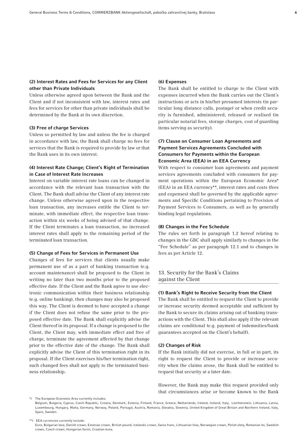#### (2) Interest Rates and Fees for Services for any Client other than Private Individuals

Unless otherwise agreed upon between the Bank and the Client and if not inconsistent with law, interest rates and fees for services for other than private individuals shall be determined by the Bank at its own discretion.

#### (3) Free of charge Services

Unless so permitted by law and unless the fee is charged in accordance with law, the Bank shall charge no fees for services that the Bank is required to provide by law or that the Bank uses in its own interest.

### (4) Interest Rate Change; Client's Right of Termination in Case of Interest Rate Increases

Interest on variable interest rate loans can be changed in accordance with the relevant loan transaction with the Client. The Bank shall advise the Client of any interest rate change. Unless otherwise agreed upon in the respective loan transaction, any increases entitle the Client to terminate, with immediate effect, the respective loan transaction within six weeks of being advised of that change. If the Client terminates a loan transaction, no increased interest rates shall apply to the remaining period of the terminated loan transaction.

#### (5) Change of Fees for Services in Permanent Use

Changes of fees for services that clients usually make permanent use of as a part of banking transaction (e.g. account maintenance) shall be proposed to the Client in writing no later than two months prior to the proposed effective date. If the Client and the Bank agree to use electronic communication within their business relationship (e.g. online banking), then changes may also be proposed this way. The Client is deemed to have accepted a change if the Client does not refuse the same prior to the proposed effective date. The Bank shall explicitly advise the Client thereof in its proposal. If a change is proposed to the Client, the Client may, with immediate effect and free of charge, terminate the agreement affected by that change prior to the effective date of the change. The Bank shall explicitly advise the Client of this termination right in its proposal. If the Client exercises his/her termination right, such changed fees shall not apply to the terminated business relationship.

#### (6) Expenses

The Bank shall be entitled to charge to the Client with expenses incurred when the Bank carries out the Client's instructions or acts in his/her presumed interests (in particular long distance calls, postage) or when credit security is furnished, administered, released or realised (in particular notarial fees, storage charges, cost of guarding items serving as security).

#### (7) Clause on Consumer Loan Agreements and Payment Services Agreements Concluded with Consumers for Payments within the European Economic Area (EEA) in an EEA Currency

With respect to consumer loan agreements and payment services agreements concluded with consumers for payment operations within the European Economic Area\* (EEA) in an EEA currency\*\*, interest rates and costs (fees and expenses) shall be governed by the applicable agreements and Specific Conditions pertaining to Provision of Payment Services to Consumers, as well as by generally binding legal regulations.

#### (8) Changes in the Fee Schedule

The rules set forth in paragraph 1.2 hereof relating to changes in the GBC shall apply similarly to changes in the "Fee Schedule" as per paragraph 12.1 and to changes in fees as per Article 12.

#### 13. Security for the Bank's Claims against the Client

#### (1) Bank's Right to Receive Security from the Client

The Bank shall be entitled to request the Client to provide or increase security deemed acceptable and sufficient by the Bank to secure its claims arising out of banking transactions with the Client. This shall also apply if the relevant claims are conditional (e.g. payment of indemnities/bank guarantees accepted on the Client's behalf).

#### (2) Changes of Risk

If the Bank initially did not exercise, in full or in part, its right to request the Client to provide or increase security when the claims arose, the Bank shall be entitled to request that security at a later date.

However, the Bank may make this request provided only that circumstances arise or become known to the Bank

 Belgium, Bulgaria, Cyprus, Czech Republic, Croatia, Denmark, Estonia, Finland, France, Greece, Netherlands, Ireland, Iceland, Italy, Liechtenstein, Lithuania, Latvia, Luxembourg, Hungary, Malta, Germany, Norway, Poland, Portugal, Austria, Romania, Slovakia, Slovenia, United Kingdom of Great Britain and Northern Ireland, Italy, Spain, Sweden.

\*\*) EEA currencies currently include:

 Euro, Bulgarian leva, Danish crown, Estonian crown, British pound, Icelandic crown, Swiss franc, Lithuanian litas, Norwegian crown, Polish zloty, Romanian lei, Swedish crown, Czech crown, Hungarian forint, Croatian kuna.

<sup>\*)</sup> The European Economic Area currently includes: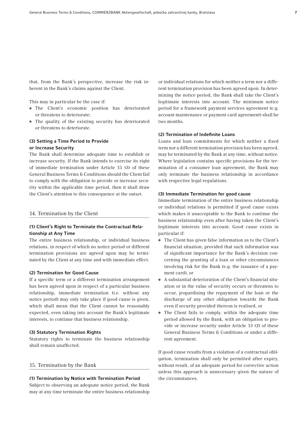that, from the Bank's perspective, increase the risk inherent in the Bank's claims against the Client.

This may in particular be the case if:

- The Client's economic position has deteriorated or threatens to deteriorate;
- The quality of the existing security has deteriorated or threatens to deteriorate.

### (3) Setting a Time Period to Provide or Increase Security

The Bank shall determine adequate time to establish or increase security. If the Bank intends to exercise its right of immediate termination under Article 15 (3) of these General Business Terms & Conditions should the Client fail to comply with the obligation to provide or increase security within the applicable time period, then it shall draw the Client's attention to this consequence at the outset.

#### 14. Termination by the Client

#### (1) Client's Right to Terminate the Contractual Relationship at Any Time

The entire business relationship, or individual business relations, in respect of which no notice period or different termination provisions are agreed upon may be terminated by the Client at any time and with immediate effect.

#### (2) Termination for Good Cause

If a specific term or a different termination arrangement has been agreed upon in respect of a particular business relationship, immediate termination (i.e. without any notice period) may only take place if good cause is given, which shall mean that the Client cannot be reasonably expected, even taking into account the Bank's legitimate interests, to continue that business relationship.

#### (3) Statutory Termination Rights

Statutory rights to terminate the business relationship shall remain unaffected.

#### 15. Termination by the Bank

#### (1) Termination by Notice with Termination Period

Subject to observing an adequate notice period, the Bank may at any time terminate the entire business relationship

or individual relations for which neither a term nor a different termination provision has been agreed upon. In determining the notice period, the Bank shall take the Client's legitimate interests into account. The minimum notice period for a framework payment services agreement (e.g. account maintenance or payment card agreement) shall be two months.

#### (2) Termination of Indefinite Loans

Loans and loan commitments for which neither a fixed term nor a different termination provision has been agreed, may be terminated by the Bank at any time, without notice. Where legislation contains specific provisions for the termination of a consumer loan agreement, the Bank may only terminate the business relationship in accordance with respective legal regulations.

#### (3) Immediate Termination for good cause

Immediate termination of the entire business relationship or individual relations is permitted if good cause exists which makes it unacceptable to the Bank to continue the business relationship even after having taken the Client's legitimate interests into account. Good cause exists in particular if:

- The Client has given false information as to the Client's financial situation, provided that such information was of significant importance for the Bank's decision concerning the granting of a loan or other circumstances involving risk for the Bank (e.g. the issuance of a payment card), or
- A substantial deterioration of the Client's financial situation or in the value of security occurs or threatens to occur, jeopardising the repayment of the loan or the discharge of any other obligation towards the Bank even if security provided thereon is realised, or
- The Client fails to comply, within the adequate time period allowed by the Bank, with an obligation to provide or increase security under Article 13 (2) of these General Business Terms & Conditions or under a different agreement.

If good cause results from a violation of a contractual obligation, termination shall only be permitted after expiry, without result, of an adequate period for corrective action unless this approach is unnecessary given the nature of the circumstances.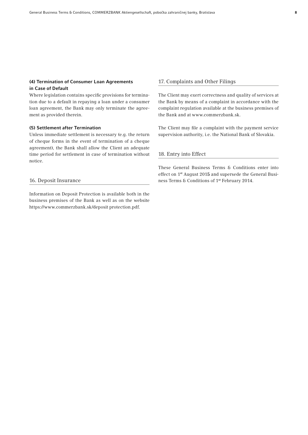### (4) Termination of Consumer Loan Agreements in Case of Default

Where legislation contains specific provisions for termination due to a default in repaying a loan under a consumer loan agreement, the Bank may only terminate the agreement as provided therein.

#### (5) Settlement after Termination

Unless immediate settlement is necessary (e.g. the return of cheque forms in the event of termination of a cheque agreement), the Bank shall allow the Client an adequate time period for settlement in case of termination without notice.

#### 16. Deposit Insurance

Information on Deposit Protection is available both in the business premises of the Bank as well as on the website [https://www.commerzbank.sk/deposit protection.pdf](https://www.commerzbank.sk/portal/media/corporatebanking/auslandsseiten/slowakei-informationen/englisch-slowakisch/poucenie_o_poisteni_vkladov_2013_en_final.pdf).

#### 17. Complaints and Other Filings

The Client may exert correctness and quality of services at the Bank by means of a complaint in accordance with the complaint regulation available at the business premises of the Bank and at www.commerzbank.sk.

The Client may file a complaint with the payment service supervision authority, i.e. the National Bank of Slovakia.

#### 18. Entry into Effect

These General Business Terms & Conditions enter into effect on 1st August 2015 and supersede the General Business Terms & Conditions of 1st February 2014.